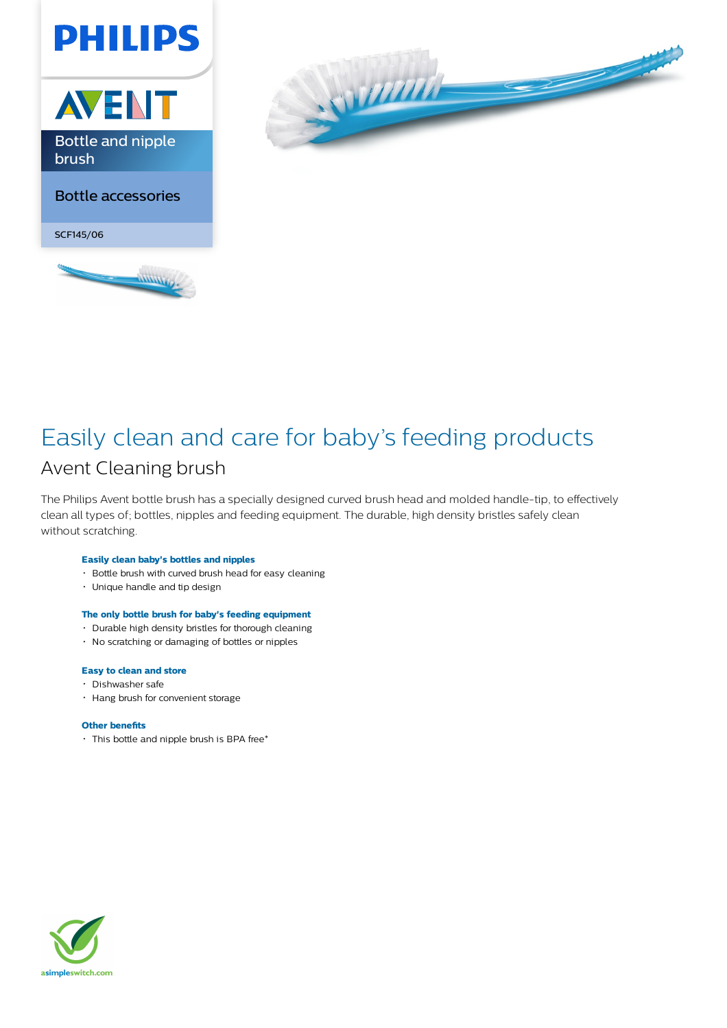



## Easily clean and care for baby's feeding products Avent Cleaning brush

The Philips Avent bottle brush has a specially designed curved brush head and molded handle-tip, to effectively clean all types of; bottles, nipples and feeding equipment. The durable, high density bristles safely clean without scratching.

#### **Easily clean baby's bottles and nipples**

- Bottle brush with curved brush head for easy cleaning
- Unique handle and tip design

### **The only bottle brush for baby's feeding equipment**

- Durable high density bristles for thorough cleaning
- No scratching or damaging of bottles or nipples

#### **Easy to clean and store**

- Dishwasher safe
- Hang brush for convenient storage

#### **Other benefits**

This bottle and nipple brush is BPA free\*